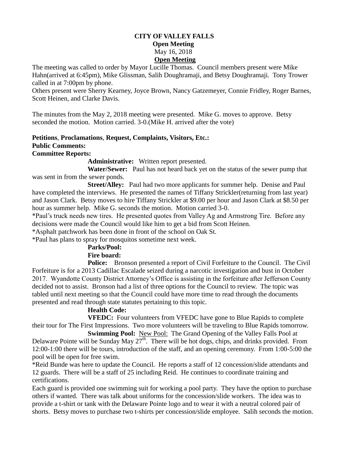### **CITY OF VALLEY FALLS Open Meeting** May 16, 2018 **Open Meeting**

The meeting was called to order by Mayor Lucille Thomas. Council members present were Mike Hahn(arrived at 6:45pm), Mike Glissman, Salih Doughramaji, and Betsy Doughramaji. Tony Trower called in at 7:00pm by phone.

Others present were Sherry Kearney, Joyce Brown, Nancy Gatzemeyer, Connie Fridley, Roger Barnes, Scott Heinen, and Clarke Davis.

The minutes from the May 2, 2018 meeting were presented. Mike G. moves to approve. Betsy seconded the motion. Motion carried. 3-0.(Mike H. arrived after the vote)

# **Petitions**, **Proclamations**, **Request, Complaints, Visitors, Etc.: Public Comments:**

### **Committee Reports:**

**Administrative:** Written report presented.

 **Water/Sewer:** Paul has not heard back yet on the status of the sewer pump that was sent in from the sewer ponds.

**Street/Alley:** Paul had two more applicants for summer help. Denise and Paul have completed the interviews. He presented the names of Tiffany Strickler(returning from last year) and Jason Clark. Betsy moves to hire Tiffany Strickler at \$9.00 per hour and Jason Clark at \$8.50 per hour as summer help. Mike G. seconds the motion. Motion carried 3-0.

\*Paul's truck needs new tires. He presented quotes from Valley Ag and Armstrong Tire. Before any decisions were made the Council would like him to get a bid from Scott Heinen.

\*Asphalt patchwork has been done in front of the school on Oak St.

\*Paul has plans to spray for mosquitos sometime next week.

# **Parks/Pool:**

### **Fire board:**

**Police:** Bronson presented a report of Civil Forfeiture to the Council. The Civil Forfeiture is for a 2013 Cadillac Escalade seized during a narcotic investigation and bust in October 2017. Wyandotte County District Attorney's Office is assisting in the forfeiture after Jefferson County decided not to assist. Bronson had a list of three options for the Council to review. The topic was tabled until next meeting so that the Council could have more time to read through the documents presented and read through state statutes pertaining to this topic.

### **Health Code:**

**VFEDC:** Four volunteers from VFEDC have gone to Blue Rapids to complete their tour for The First Impressions. Two more volunteers will be traveling to Blue Rapids tomorrow.

 **Swimming Pool:** New Pool: The Grand Opening of the Valley Falls Pool at Delaware Pointe will be Sunday May  $27<sup>th</sup>$ . There will be hot dogs, chips, and drinks provided. From 12:00-1:00 there will be tours, introduction of the staff, and an opening ceremony. From 1:00-5:00 the pool will be open for free swim.

\*Reid Bunde was here to update the Council. He reports a staff of 12 concession/slide attendants and 12 guards. There will be a staff of 25 including Reid. He continues to coordinate training and certifications.

Each guard is provided one swimming suit for working a pool party. They have the option to purchase others if wanted. There was talk about uniforms for the concession/slide workers. The idea was to provide a t-shirt or tank with the Delaware Pointe logo and to wear it with a neutral colored pair of shorts. Betsy moves to purchase two t-shirts per concession/slide employee. Salih seconds the motion.